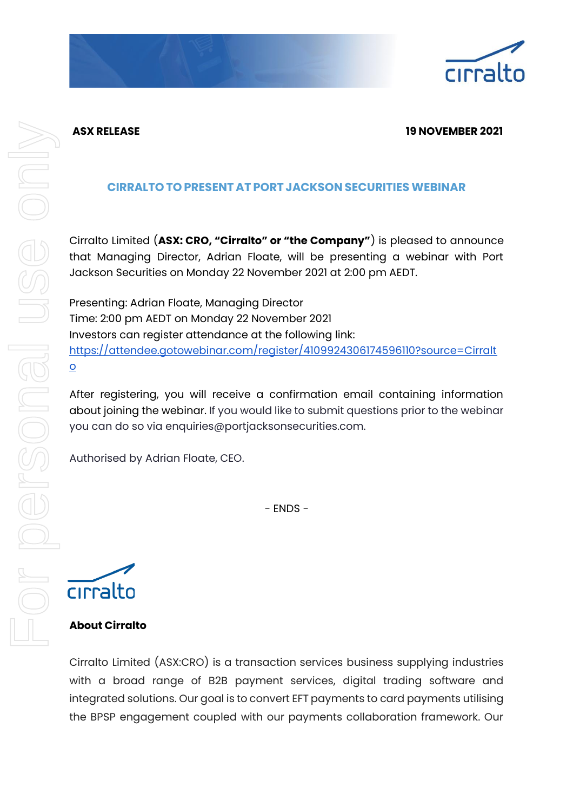

# **ASX RELEASE 19 NOVEMBER 2021**

# **CIRRALTO TO PRESENT AT PORT JACKSON SECURITIES WEBINAR**

Cirralto Limited (**ASX: CRO, "Cirralto" or "the Company"**) is pleased to announce that Managing Director, Adrian Floate, will be presenting a webinar with Port Jackson Securities on Monday 22 November 2021 at 2:00 pm AEDT.

Presenting: Adrian Floate, Managing Director Time: 2:00 pm AEDT on Monday 22 November 2021 Investors can register attendance at the following link: [https://attendee.gotowebinar.com/register/4109924306174596110?source=Cirralt](https://attendee.gotowebinar.com/register/4109924306174596110?source=Cirralto) [o](https://attendee.gotowebinar.com/register/4109924306174596110?source=Cirralto)

After registering, you will receive a confirmation email containing information about joining the webinar. If you would like to submit questions prior to the webinar you can do so via enquiries@portjacksonsecurities.com.

Authorised by Adrian Floate, CEO.

- ENDS -

cirralto

# **About Cirralto**

Cirralto Limited (ASX:CRO) is a transaction services business supplying industries with a broad range of B2B payment services, digital trading software and integrated solutions. Our goal is to convert EFT payments to card payments utilising the BPSP engagement coupled with our payments collaboration framework. Our

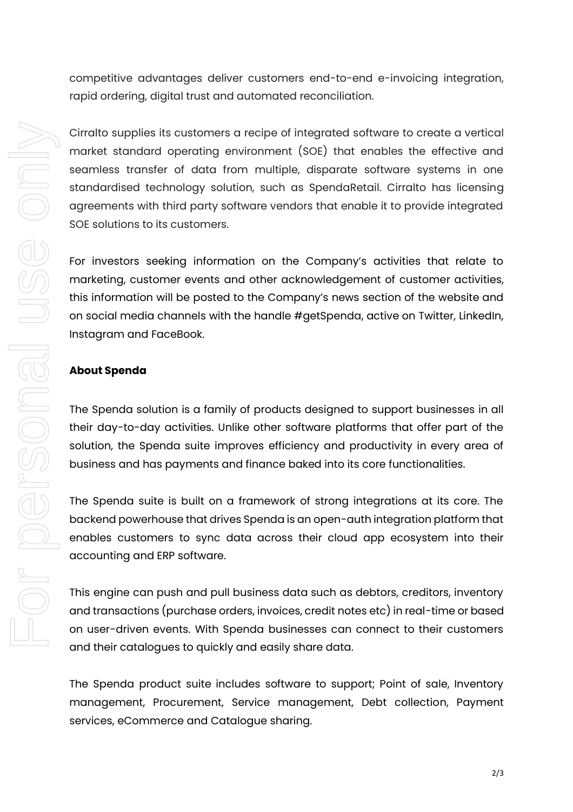competitive advantages deliver customers end-to-end e-invoicing integration, rapid ordering, digital trust and automated reconciliation.

Cirralto supplies its customers a recipe of integrated software to create a vertical market standard operating environment (SOE) that enables the effective and seamless transfer of data from multiple, disparate software systems in one standardised technology solution, such as SpendaRetail. Cirralto has licensing agreements with third party software vendors that enable it to provide integrated SOE solutions to its customers.

For investors seeking information on the Company's activities that relate to marketing, customer events and other acknowledgement of customer activities, this information will be posted to the Company's news section of the website and on social media channels with the handle #getSpenda, active on Twitter, LinkedIn, Instagram and FaceBook.

### **About Spenda**

The Spenda solution is a family of products designed to support businesses in all their day-to-day activities. Unlike other software platforms that offer part of the solution, the Spenda suite improves efficiency and productivity in every area of business and has payments and finance baked into its core functionalities.

The Spenda suite is built on a framework of strong integrations at its core. The backend powerhouse that drives Spenda is an open-auth integration platform that enables customers to sync data across their cloud app ecosystem into their accounting and ERP software.

This engine can push and pull business data such as debtors, creditors, inventory and transactions (purchase orders, invoices, credit notes etc) in real-time or based on user-driven events. With Spenda businesses can connect to their customers and their catalogues to quickly and easily share data.

The Spenda product suite includes software to support; Point of sale, Inventory management, Procurement, Service management, Debt collection, Payment services, eCommerce and Catalogue sharing.